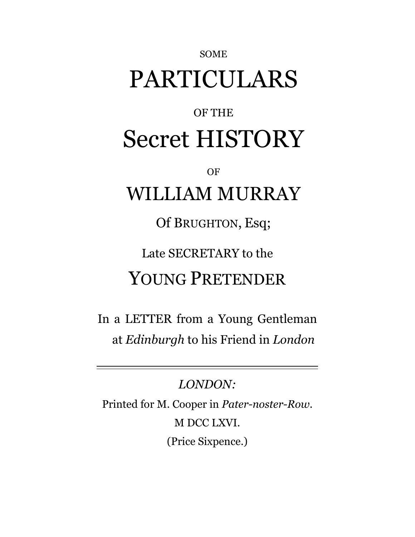# PARTICULARS

SOME

## OF THE Secret HISTORY

OF

## WILLIAM MURRAY

Of BRUGHTON, Esq;

Late SECRETARY to the

## YOUNG PRETENDER

In a LETTER from a Young Gentleman at *Edinburgh* to his Friend in *London*

*LONDON:* Printed for M. Cooper in *Pater-noster-Row.* M DCC LXVI. (Price Sixpence.)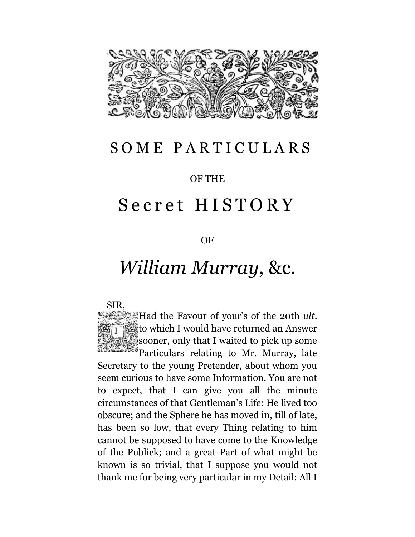

#### SOME PARTICULARS

#### OF THE

#### Secret HISTORY

#### OF

### *William Murray*, &c.

#### SIR,

Had the Favour of your's of the 20th *ult*. to which I would have returned an Answer sooner, only that I waited to pick up some **Particulars relating to Mr. Murray, late** Secretary to the young Pretender, about whom you seem curious to have some Information. You are not to expect, that I can give you all the minute circumstances of that Gentleman's Life: He lived too obscure; and the Sphere he has moved in, till of late, has been so low, that every Thing relating to him cannot be supposed to have come to the Knowledge of the Publick; and a great Part of what might be known is so trivial, that I suppose you would not thank me for being very particular in my Detail: All I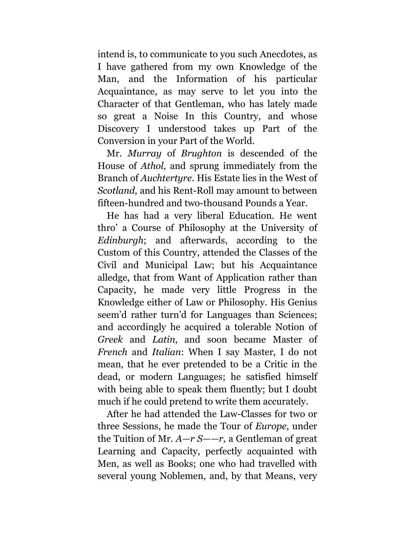intend is, to communicate to you such Anecdotes, as I have gathered from my own Knowledge of the Man, and the Information of his particular Acquaintance, as may serve to let you into the Character of that Gentleman, who has lately made so great a Noise In this Country, and whose Discovery I understood takes up Part of the Conversion in your Part of the World.

Mr. *Murray* of *Brughton* is descended of the House of *Athol,* and sprung immediately from the Branch of *Auchtertyre.* His Estate lies in the West of *Scotland,* and his Rent-Roll may amount to between fifteen-hundred and two-thousand Pounds a Year.

He has had a very liberal Education. He went thro' a Course of Philosophy at the University of *Edinburgh*; and afterwards, according to the Custom of this Country, attended the Classes of the Civil and Municipal Law; but his Acquaintance alledge, that from Want of Application rather than Capacity, he made very little Progress in the Knowledge either of Law or Philosophy. His Genius seem'd rather turn'd for Languages than Sciences; and accordingly he acquired a tolerable Notion of *Greek* and *Latin*, and soon became Master of *French* and *Italian*: When I say Master, I do not mean, that he ever pretended to be a Critic in the dead, or modern Languages; he satisfied himself with being able to speak them fluently; but I doubt much if he could pretend to write them accurately.

After he had attended the Law-Classes for two or three Sessions, he made the Tour of *Europe*, under the Tuition of Mr. *A—r S——r,* a Gentleman of great Learning and Capacity, perfectly acquainted with Men, as well as Books; one who had travelled with several young Noblemen, and, by that Means, very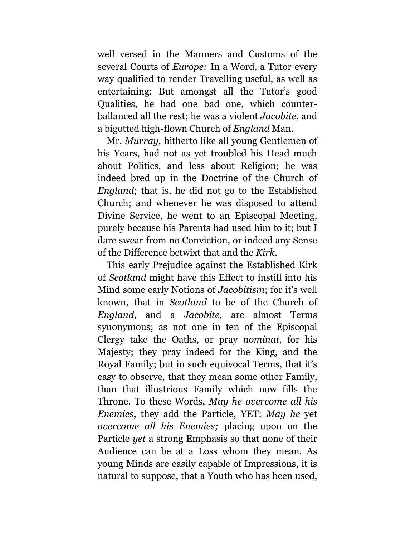well versed in the Manners and Customs of the several Courts of *Europe:* In a Word, a Tutor every way qualified to render Travelling useful, as well as entertaining: But amongst all the Tutor's good Qualities, he had one bad one, which counterballanced all the rest; he was a violent *Jacobite*, and a bigotted high-flown Church of *England* Man.

Mr. *Murray,* hitherto like all young Gentlemen of his Years, had not as yet troubled his Head much about Politics, and less about Religion; he was indeed bred up in the Doctrine of the Church of *England*; that is, he did not go to the Established Church; and whenever he was disposed to attend Divine Service, he went to an Episcopal Meeting, purely because his Parents had used him to it; but I dare swear from no Conviction, or indeed any Sense of the Difference betwixt that and the *Kirk.*

This early Prejudice against the Established Kirk of *Scotland* might have this Effect to instill into his Mind some early Notions of *Jacobitism*; for it's well known, that in *Scotland* to be of the Church of *England*, and a *Jacobite,* are almost Terms synonymous; as not one in ten of the Episcopal Clergy take the Oaths, or pray *nominat,* for his Majesty; they pray indeed for the King, and the Royal Family; but in such equivocal Terms, that it's easy to observe, that they mean some other Family, than that illustrious Family which now fills the Throne. To these Words, *May he overcome all his Enemies*, they add the Particle, YET: *May he* yet *overcome all his Enemies;* placing upon on the Particle *yet* a strong Emphasis so that none of their Audience can be at a Loss whom they mean. As young Minds are easily capable of Impressions, it is natural to suppose, that a Youth who has been used,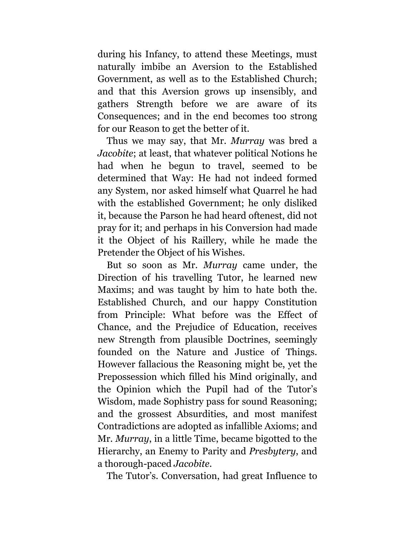during his Infancy, to attend these Meetings, must naturally imbibe an Aversion to the Established Government, as well as to the Established Church; and that this Aversion grows up insensibly, and gathers Strength before we are aware of its Consequences; and in the end becomes too strong for our Reason to get the better of it.

Thus we may say, that Mr. *Murray* was bred a *Jacobite*; at least, that whatever political Notions he had when he begun to travel, seemed to be determined that Way: He had not indeed formed any System, nor asked himself what Quarrel he had with the established Government; he only disliked it, because the Parson he had heard oftenest, did not pray for it; and perhaps in his Conversion had made it the Object of his Raillery, while he made the Pretender the Object of his Wishes.

But so soon as Mr. *Murray* came under, the Direction of his travelling Tutor, he learned new Maxims; and was taught by him to hate both the. Established Church, and our happy Constitution from Principle: What before was the Effect of Chance, and the Prejudice of Education, receives new Strength from plausible Doctrines, seemingly founded on the Nature and Justice of Things. However fallacious the Reasoning might be, yet the Prepossession which filled his Mind originally, and the Opinion which the Pupil had of the Tutor's Wisdom, made Sophistry pass for sound Reasoning; and the grossest Absurdities, and most manifest Contradictions are adopted as infallible Axioms; and Mr. *Murray*, in a little Time, became bigotted to the Hierarchy, an Enemy to Parity and *Presbytery*, and a thorough-paced *Jacobite*.

The Tutor's. Conversation, had great Influence to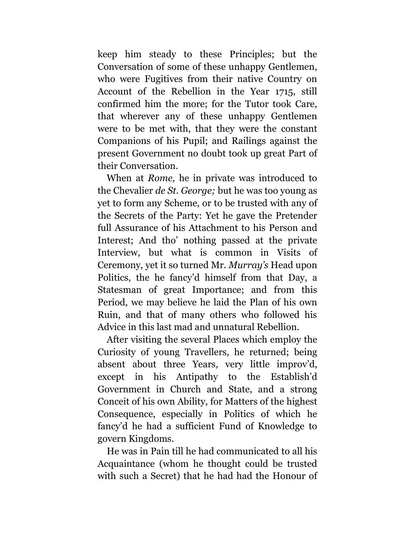keep him steady to these Principles; but the Conversation of some of these unhappy Gentlemen, who were Fugitives from their native Country on Account of the Rebellion in the Year 1715, still confirmed him the more; for the Tutor took Care, that wherever any of these unhappy Gentlemen were to be met with, that they were the constant Companions of his Pupil; and Railings against the present Government no doubt took up great Part of their Conversation.

When at *Rome,* he in private was introduced to the Chevalier *de St. George;* but he was too young as yet to form any Scheme, or to be trusted with any of the Secrets of the Party: Yet he gave the Pretender full Assurance of his Attachment to his Person and Interest; And tho' nothing passed at the private Interview, but what is common in Visits of Ceremony, yet it so turned Mr. *Murray's* Head upon Politics, the he fancy'd himself from that Day, a Statesman of great Importance; and from this Period, we may believe he laid the Plan of his own Ruin, and that of many others who followed his Advice in this last mad and unnatural Rebellion.

After visiting the several Places which employ the Curiosity of young Travellers, he returned; being absent about three Years, very little improv'd, except in his Antipathy to the Establish'd Government in Church and State, and a strong Conceit of his own Ability, for Matters of the highest Consequence, especially in Politics of which he fancy'd he had a sufficient Fund of Knowledge to govern Kingdoms.

He was in Pain till he had communicated to all his Acquaintance (whom he thought could be trusted with such a Secret) that he had had the Honour of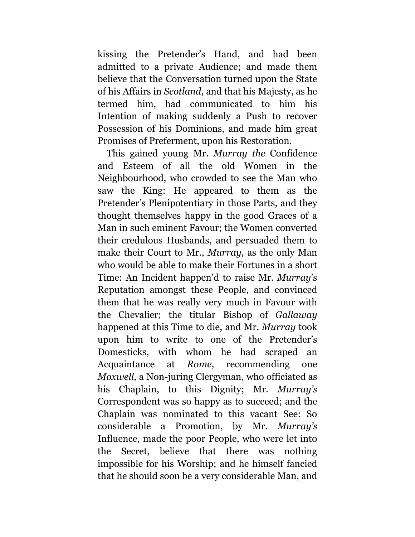kissing the Pretender's Hand, and had been admitted to a private Audience; and made them believe that the Conversation turned upon the State of his Affairs in *Scotland*, and that his Majesty, as he termed him, had communicated to him his Intention of making suddenly a Push to recover Possession of his Dominions, and made him great Promises of Preferment, upon his Restoration.

This gained young Mr. *Murray the* Confidence and Esteem of all the old Women in the Neighbourhood, who crowded to see the Man who saw the King: He appeared to them as the Pretender's Plenipotentiary in those Parts, and they thought themselves happy in the good Graces of a Man in such eminent Favour; the Women converted their credulous Husbands, and persuaded them to make their Court to Mr., *Murray,* as the only Man who would be able to make their Fortunes in a short Time: An Incident happen'd to raise Mr. *Murray*'s Reputation amongst these People, and convinced them that he was really very much in Favour with the Chevalier; the titular Bishop of *Gallaway* happened at this Time to die, and Mr. *Murray* took upon him to write to one of the Pretender's Domesticks, with whom he had scraped an Acquaintance at *Rome,* recommending one *Moxwell,* a Non-juring Clergyman, who officiated as his Chaplain, to this Dignity; Mr. *Murray's*  Correspondent was so happy as to succeed; and the Chaplain was nominated to this vacant See: So considerable a Promotion, by Mr. *Murray's* Influence, made the poor People, who were let into the Secret, believe that there was nothing impossible for his Worship; and he himself fancied that he should soon be a very considerable Man, and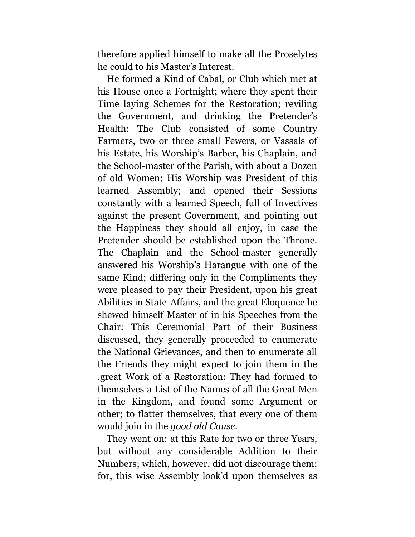therefore applied himself to make all the Proselytes he could to his Master's Interest.

He formed a Kind of Cabal, or Club which met at his House once a Fortnight; where they spent their Time laying Schemes for the Restoration; reviling the Government, and drinking the Pretender's Health: The Club consisted of some Country Farmers, two or three small Fewers, or Vassals of his Estate, his Worship's Barber, his Chaplain, and the School-master of the Parish, with about a Dozen of old Women; His Worship was President of this learned Assembly; and opened their Sessions constantly with a learned Speech, full of Invectives against the present Government, and pointing out the Happiness they should all enjoy, in case the Pretender should be established upon the Throne. The Chaplain and the School-master generally answered his Worship's Harangue with one of the same Kind; differing only in the Compliments they were pleased to pay their President, upon his great Abilities in State-Affairs, and the great Eloquence he shewed himself Master of in his Speeches from the Chair: This Ceremonial Part of their Business discussed, they generally proceeded to enumerate the National Grievances, and then to enumerate all the Friends they might expect to join them in the .great Work of a Restoration: They had formed to themselves a List of the Names of all the Great Men in the Kingdom, and found some Argument or other; to flatter themselves, that every one of them would join in the *good old Cause.*

They went on: at this Rate for two or three Years, but without any considerable Addition to their Numbers; which, however, did not discourage them; for, this wise Assembly look'd upon themselves as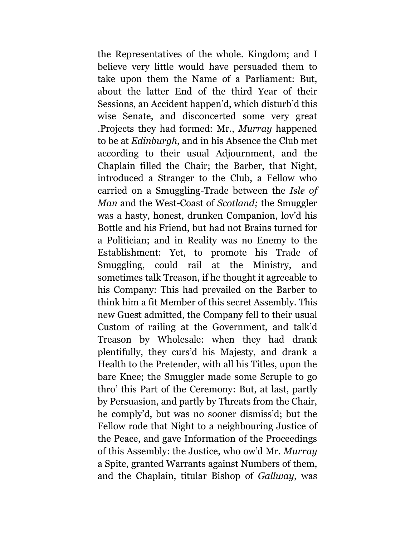the Representatives of the whole. Kingdom; and I believe very little would have persuaded them to take upon them the Name of a Parliament: But, about the latter End of the third Year of their Sessions, an Accident happen'd, which disturb'd this wise Senate, and disconcerted some very great .Projects they had formed: Mr., *Murray* happened to be at *Edinburgh,* and in his Absence the Club met according to their usual Adjournment, and the Chaplain filled the Chair; the Barber, that Night, introduced a Stranger to the Club, a Fellow who carried on a Smuggling-Trade between the *Isle of Man* and the West-Coast of *Scotland;* the Smuggler was a hasty, honest, drunken Companion, lov'd his Bottle and his Friend, but had not Brains turned for a Politician; and in Reality was no Enemy to the Establishment: Yet, to promote his Trade of Smuggling, could rail at the Ministry, and sometimes talk Treason, if he thought it agreeable to his Company: This had prevailed on the Barber to think him a fit Member of this secret Assembly. This new Guest admitted, the Company fell to their usual Custom of railing at the Government, and talk'd Treason by Wholesale: when they had drank plentifully, they curs'd his Majesty, and drank a Health to the Pretender, with all his Titles, upon the bare Knee; the Smuggler made some Scruple to go thro' this Part of the Ceremony: But, at last, partly by Persuasion, and partly by Threats from the Chair, he comply'd, but was no sooner dismiss'd; but the Fellow rode that Night to a neighbouring Justice of the Peace, and gave Information of the Proceedings of this Assembly: the Justice, who ow'd Mr. *Murray* a Spite, granted Warrants against Numbers of them, and the Chaplain, titular Bishop of *Gallway*, was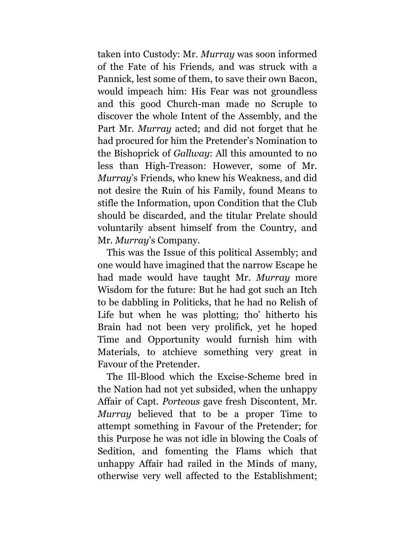taken into Custody: Mr. *Murray* was soon informed of the Fate of his Friends, and was struck with a Pannick, lest some of them, to save their own Bacon, would impeach him: His Fear was not groundless and this good Church-man made no Scruple to discover the whole Intent of the Assembly, and the Part Mr. *Murray* acted; and did not forget that he had procured for him the Pretender's Nomination to the Bishoprick of *Gallway*: All this amounted to no less than High-Treason: However, some of Mr. *Murray*'s Friends, who knew his Weakness, and did not desire the Ruin of his Family, found Means to stifle the Information, upon Condition that the Club should be discarded, and the titular Prelate should voluntarily absent himself from the Country, and Mr. *Murray*'s Company.

This was the Issue of this political Assembly; and one would have imagined that the narrow Escape he had made would have taught Mr. *Murray* more Wisdom for the future: But he had got such an Itch to be dabbling in Politicks, that he had no Relish of Life but when he was plotting; tho' hitherto his Brain had not been very prolifick, yet he hoped Time and Opportunity would furnish him with Materials, to atchieve something very great in Favour of the Pretender.

The Ill-Blood which the Excise-Scheme bred in the Nation had not yet subsided, when the unhappy Affair of Capt. *Porteous* gave fresh Discontent, Mr. *Murray* believed that to be a proper Time to attempt something in Favour of the Pretender; for this Purpose he was not idle in blowing the Coals of Sedition, and fomenting the Flams which that unhappy Affair had railed in the Minds of many, otherwise very well affected to the Establishment;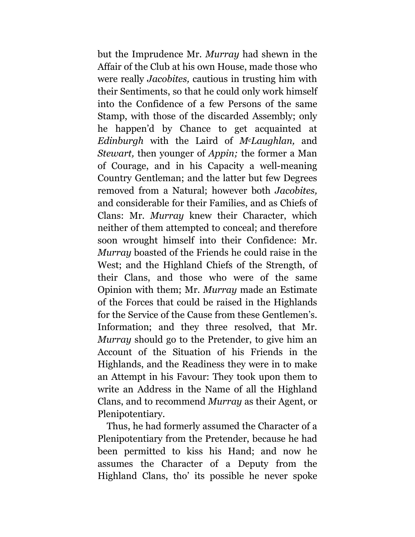but the Imprudence Mr. *Murray* had shewn in the Affair of the Club at his own House, made those who were really *Jacobites,* cautious in trusting him with their Sentiments, so that he could only work himself into the Confidence of a few Persons of the same Stamp, with those of the discarded Assembly; only he happen'd by Chance to get acquainted at *Edinburgh* with the Laird of *McLaughlan,* and *Stewart,* then younger of *Appin;* the former a Man of Courage, and in his Capacity a well-meaning Country Gentleman; and the latter but few Degrees removed from a Natural; however both *Jacobites,* and considerable for their Families, and as Chiefs of Clans: Mr. *Murray* knew their Character, which neither of them attempted to conceal; and therefore soon wrought himself into their Confidence: Mr. *Murray* boasted of the Friends he could raise in the West; and the Highland Chiefs of the Strength, of their Clans, and those who were of the same Opinion with them; Mr. *Murray* made an Estimate of the Forces that could be raised in the Highlands for the Service of the Cause from these Gentlemen's. Information; and they three resolved, that Mr. *Murray* should go to the Pretender, to give him an Account of the Situation of his Friends in the Highlands, and the Readiness they were in to make an Attempt in his Favour: They took upon them to write an Address in the Name of all the Highland Clans, and to recommend *Murray* as their Agent, or Plenipotentiary.

Thus, he had formerly assumed the Character of a Plenipotentiary from the Pretender, because he had been permitted to kiss his Hand; and now he assumes the Character of a Deputy from the Highland Clans, tho' its possible he never spoke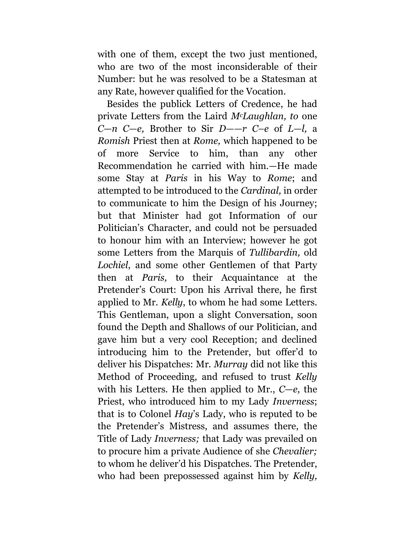with one of them, except the two just mentioned, who are two of the most inconsiderable of their Number: but he was resolved to be a Statesman at any Rate, however qualified for the Vocation.

Besides the publick Letters of Credence, he had private Letters from the Laird *McLaughlan, to* one *C*—*n C—e,* Brother to Sir *D——r C–e* of *L—l,* a *Romish* Priest then at *Rome,* which happened to be of more Service to him, than any other Recommendation he carried with him.—He made some Stay at *Paris* in his Way to *Rome*; and attempted to be introduced to the *Cardinal,* in order to communicate to him the Design of his Journey; but that Minister had got Information of our Politician's Character, and could not be persuaded to honour him with an Interview; however he got some Letters from the Marquis of *Tullibardin,* old *Lochiel*, and some other Gentlemen of that Party then at *Paris,* to their Acquaintance at the Pretender's Court: Upon his Arrival there, he first applied to Mr. *Kelly*, to whom he had some Letters. This Gentleman, upon a slight Conversation, soon found the Depth and Shallows of our Politician, and gave him but a very cool Reception; and declined introducing him to the Pretender, but offer'd to deliver his Dispatches: Mr. *Murray* did not like this Method of Proceeding, and refused to trust *Kelly* with his Letters. He then applied to Mr., *C*—*e,* the Priest, who introduced him to my Lady *Inverness*; that is to Colonel *Hay*'s Lady, who is reputed to be the Pretender's Mistress, and assumes there, the Title of Lady *Inverness;* that Lady was prevailed on to procure him a private Audience of she *Chevalier;* to whom he deliver'd his Dispatches. The Pretender, who had been prepossessed against him by *Kelly,*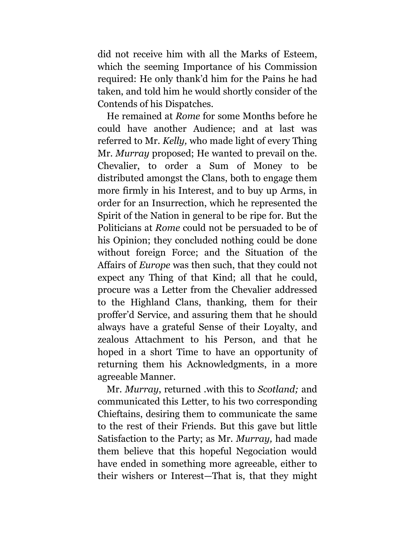did not receive him with all the Marks of Esteem, which the seeming Importance of his Commission required: He only thank'd him for the Pains he had taken, and told him he would shortly consider of the Contends of his Dispatches.

He remained at *Rome* for some Months before he could have another Audience; and at last was referred to Mr. *Kelly,* who made light of every Thing Mr. *Murray* proposed; He wanted to prevail on the. Chevalier, to order a Sum of Money to be distributed amongst the Clans, both to engage them more firmly in his Interest, and to buy up Arms, in order for an Insurrection, which he represented the Spirit of the Nation in general to be ripe for. But the Politicians at *Rome* could not be persuaded to be of his Opinion; they concluded nothing could be done without foreign Force; and the Situation of the Affairs of *Europe* was then such, that they could not expect any Thing of that Kind; all that he could, procure was a Letter from the Chevalier addressed to the Highland Clans, thanking, them for their proffer'd Service, and assuring them that he should always have a grateful Sense of their Loyalty, and zealous Attachment to his Person, and that he hoped in a short Time to have an opportunity of returning them his Acknowledgments, in a more agreeable Manner.

Mr. *Murray*, returned .with this to *Scotland;* and communicated this Letter, to his two corresponding Chieftains, desiring them to communicate the same to the rest of their Friends*.* But this gave but little Satisfaction to the Party; as Mr. *Murray,* had made them believe that this hopeful Negociation would have ended in something more agreeable, either to their wishers or Interest—That is, that they might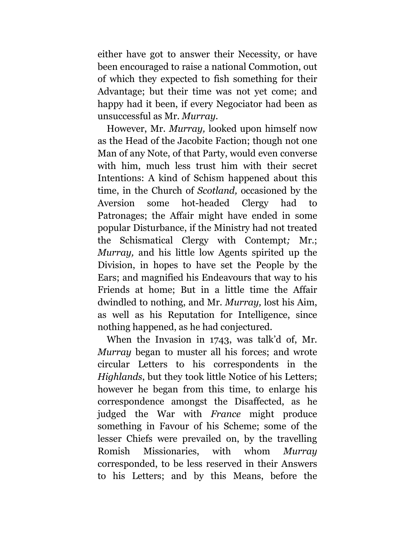either have got to answer their Necessity, or have been encouraged to raise a national Commotion, out of which they expected to fish something for their Advantage; but their time was not yet come; and happy had it been, if every Negociator had been as unsuccessful as Mr. *Murray.*

However, Mr. *Murray,* looked upon himself now as the Head of the Jacobite Faction; though not one Man of any Note, of that Party, would even converse with him, much less trust him with their secret Intentions: A kind of Schism happened about this time, in the Church of *Scotland,* occasioned by the Aversion some hot-headed Clergy had to Patronages; the Affair might have ended in some popular Disturbance, if the Ministry had not treated the Schismatical Clergy with Contempt*;* Mr.; *Murray,* and his little low Agents spirited up the Division, in hopes to have set the People by the Ears; and magnified his Endeavours that way to his Friends at home; But in a little time the Affair dwindled to nothing, and Mr. *Murray,* lost his Aim, as well as his Reputation for Intelligence, since nothing happened, as he had conjectured.

When the Invasion in 1743, was talk'd of, Mr. *Murray* began to muster all his forces; and wrote circular Letters to his correspondents in the *Highlands*, but they took little Notice of his Letters; however he began from this time, to enlarge his correspondence amongst the Disaffected, as he judged the War with *France* might produce something in Favour of his Scheme; some of the lesser Chiefs were prevailed on, by the travelling Romish Missionaries, with whom *Murray*  corresponded, to be less reserved in their Answers to his Letters; and by this Means, before the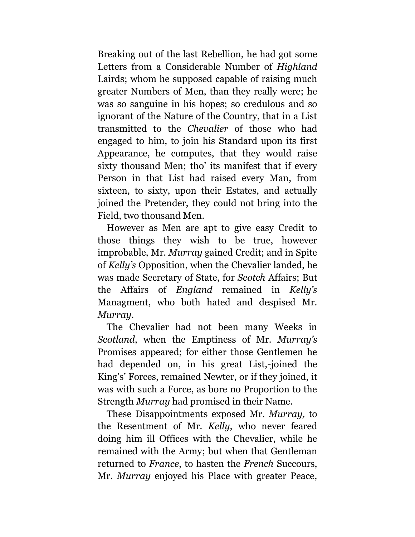Breaking out of the last Rebellion, he had got some Letters from a Considerable Number of *Highland* Lairds; whom he supposed capable of raising much greater Numbers of Men, than they really were; he was so sanguine in his hopes; so credulous and so ignorant of the Nature of the Country, that in a List transmitted to the *Chevalier* of those who had engaged to him, to join his Standard upon its first Appearance, he computes, that they would raise sixty thousand Men; tho' its manifest that if every Person in that List had raised every Man, from sixteen, to sixty, upon their Estates, and actually joined the Pretender, they could not bring into the Field, two thousand Men.

However as Men are apt to give easy Credit to those things they wish to be true, however improbable, Mr. *Murray* gained Credit; and in Spite of *Kelly's* Opposition, when the Chevalier landed, he was made Secretary of State, for *Scotch* Affairs; But the Affairs of *England* remained in *Kelly's* Managment, who both hated and despised Mr. *Murray*.

The Chevalier had not been many Weeks in *Scotland*, when the Emptiness of Mr. *Murray's* Promises appeared; for either those Gentlemen he had depended on, in his great List,-joined the King's' Forces, remained Newter, or if they joined, it was with such a Force, as bore no Proportion to the Strength *Murray* had promised in their Name.

These Disappointments exposed Mr. *Murray,* to the Resentment of Mr. *Kelly*, who never feared doing him ill Offices with the Chevalier, while he remained with the Army; but when that Gentleman returned to *France*, to hasten the *French* Succours, Mr. *Murray* enjoyed his Place with greater Peace,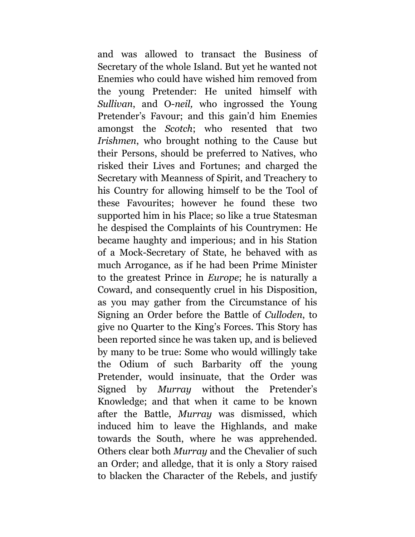and was allowed to transact the Business of Secretary of the whole Island. But yet he wanted not Enemies who could have wished him removed from the young Pretender: He united himself with *Sullivan*, and O-*neil,* who ingrossed the Young Pretender's Favour; and this gain'd him Enemies amongst the *Scotch*; who resented that two *Irishmen*, who brought nothing to the Cause but their Persons, should be preferred to Natives, who risked their Lives and Fortunes; and charged the Secretary with Meanness of Spirit, and Treachery to his Country for allowing himself to be the Tool of these Favourites; however he found these two supported him in his Place; so like a true Statesman he despised the Complaints of his Countrymen: He became haughty and imperious; and in his Station of a Mock-Secretary of State, he behaved with as much Arrogance, as if he had been Prime Minister to the greatest Prince in *Europe*; he is naturally a Coward, and consequently cruel in his Disposition, as you may gather from the Circumstance of his Signing an Order before the Battle of *Culloden*, to give no Quarter to the King's Forces. This Story has been reported since he was taken up, and is believed by many to be true: Some who would willingly take the Odium of such Barbarity off the young Pretender, would insinuate, that the Order was Signed by *Murray* without the Pretender's Knowledge; and that when it came to be known after the Battle, *Murray* was dismissed, which induced him to leave the Highlands, and make towards the South, where he was apprehended. Others clear both *Murray* and the Chevalier of such an Order; and alledge, that it is only a Story raised to blacken the Character of the Rebels, and justify